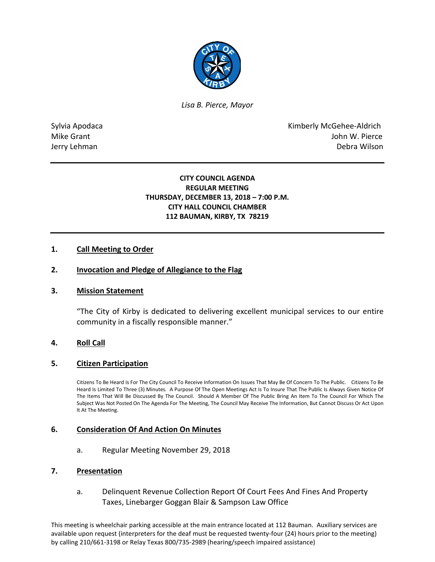

*Lisa B. Pierce, Mayor* 

Sylvia Apodaca **Kimberly McGehee-Aldrich** Mike Grant **Mike Grant** John W. Pierce Jerry Lehman Debra Wilson

# **CITY COUNCIL AGENDA REGULAR MEETING THURSDAY, DECEMBER 13, 2018 – 7:00 P.M. CITY HALL COUNCIL CHAMBER 112 BAUMAN, KIRBY, TX 78219**

# **1. Call Meeting to Order**

### **2. Invocation and Pledge of Allegiance to the Flag**

#### **3. Mission Statement**

"The City of Kirby is dedicated to delivering excellent municipal services to our entire community in a fiscally responsible manner."

#### **4. Roll Call**

#### **5. Citizen Participation**

Citizens To Be Heard Is For The City Council To Receive Information On Issues That May Be Of Concern To The Public. Citizens To Be Heard Is Limited To Three (3) Minutes. A Purpose Of The Open Meetings Act Is To Insure That The Public Is Always Given Notice Of The Items That Will Be Discussed By The Council. Should A Member Of The Public Bring An Item To The Council For Which The Subject Was Not Posted On The Agenda For The Meeting, The Council May Receive The Information, But Cannot Discuss Or Act Upon It At The Meeting.

#### **6. Consideration Of And Action On Minutes**

a. Regular Meeting November 29, 2018

#### **7. Presentation**

a. Delinquent Revenue Collection Report Of Court Fees And Fines And Property Taxes, Linebarger Goggan Blair & Sampson Law Office

This meeting is wheelchair parking accessible at the main entrance located at 112 Bauman. Auxiliary services are available upon request (interpreters for the deaf must be requested twenty-four (24) hours prior to the meeting) by calling 210/661-3198 or Relay Texas 800/735-2989 (hearing/speech impaired assistance)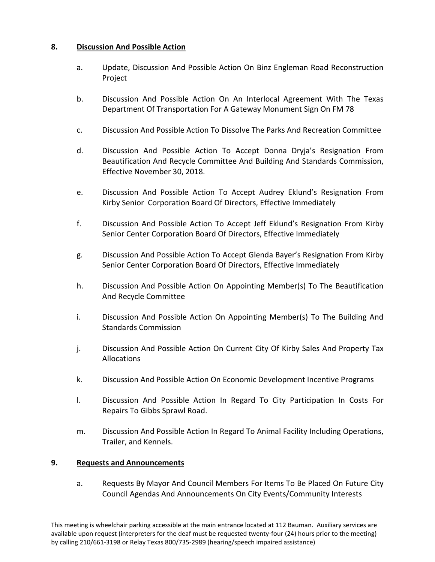# **8. Discussion And Possible Action**

- a. Update, Discussion And Possible Action On Binz Engleman Road Reconstruction Project
- b. Discussion And Possible Action On An Interlocal Agreement With The Texas Department Of Transportation For A Gateway Monument Sign On FM 78
- c. Discussion And Possible Action To Dissolve The Parks And Recreation Committee
- d. Discussion And Possible Action To Accept Donna Dryja's Resignation From Beautification And Recycle Committee And Building And Standards Commission, Effective November 30, 2018.
- e. Discussion And Possible Action To Accept Audrey Eklund's Resignation From Kirby Senior Corporation Board Of Directors, Effective Immediately
- f. Discussion And Possible Action To Accept Jeff Eklund's Resignation From Kirby Senior Center Corporation Board Of Directors, Effective Immediately
- g. Discussion And Possible Action To Accept Glenda Bayer's Resignation From Kirby Senior Center Corporation Board Of Directors, Effective Immediately
- h. Discussion And Possible Action On Appointing Member(s) To The Beautification And Recycle Committee
- i. Discussion And Possible Action On Appointing Member(s) To The Building And Standards Commission
- j. Discussion And Possible Action On Current City Of Kirby Sales And Property Tax Allocations
- k. Discussion And Possible Action On Economic Development Incentive Programs
- l. Discussion And Possible Action In Regard To City Participation In Costs For Repairs To Gibbs Sprawl Road.
- m. Discussion And Possible Action In Regard To Animal Facility Including Operations, Trailer, and Kennels.

# **9. Requests and Announcements**

a. Requests By Mayor And Council Members For Items To Be Placed On Future City Council Agendas And Announcements On City Events/Community Interests

This meeting is wheelchair parking accessible at the main entrance located at 112 Bauman. Auxiliary services are available upon request (interpreters for the deaf must be requested twenty-four (24) hours prior to the meeting) by calling 210/661-3198 or Relay Texas 800/735-2989 (hearing/speech impaired assistance)